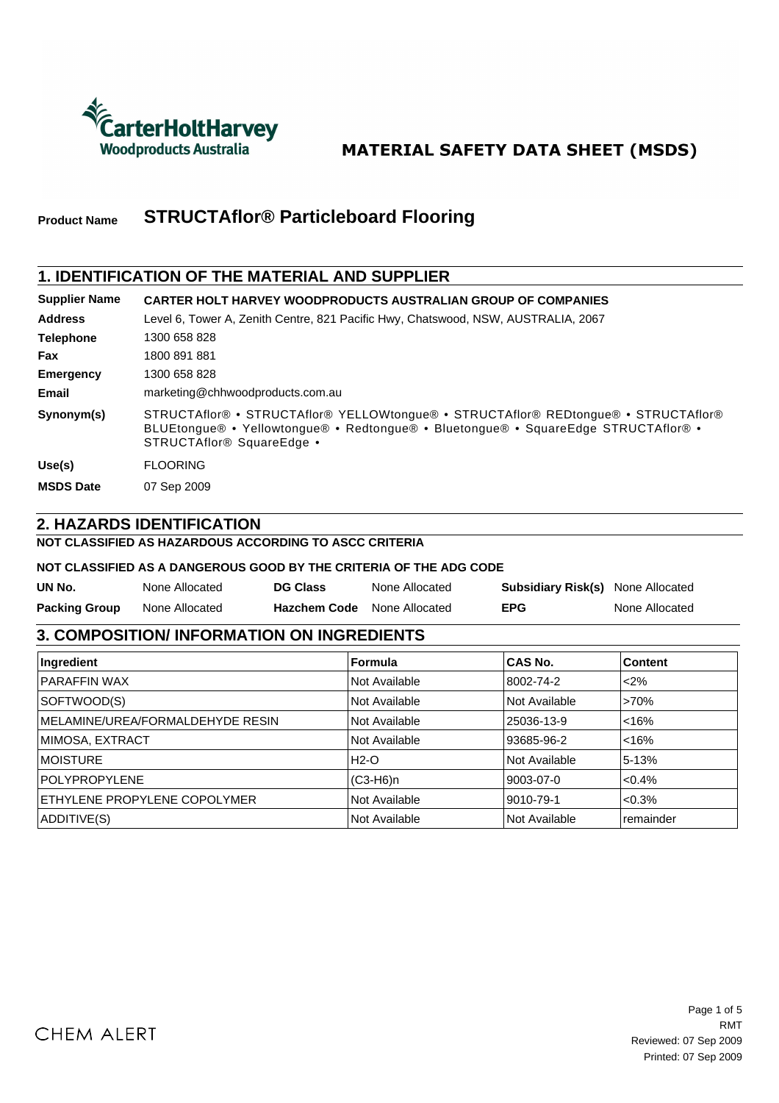

# **MATERIAL SAFETY DATA SHEET (MSDS)**

#### **STRUCTAflor® Particleboard Flooring Product Name**

### **1. IDENTIFICATION OF THE MATERIAL AND SUPPLIER**

| <b>Supplier Name</b> | <b>CARTER HOLT HARVEY WOODPRODUCTS AUSTRALIAN GROUP OF COMPANIES</b>                                                                                                                                              |
|----------------------|-------------------------------------------------------------------------------------------------------------------------------------------------------------------------------------------------------------------|
| <b>Address</b>       | Level 6, Tower A, Zenith Centre, 821 Pacific Hwy, Chatswood, NSW, AUSTRALIA, 2067                                                                                                                                 |
| <b>Telephone</b>     | 1300 658 828                                                                                                                                                                                                      |
| <b>Fax</b>           | 1800 891 881                                                                                                                                                                                                      |
| <b>Emergency</b>     | 1300 658 828                                                                                                                                                                                                      |
| Email                | marketing@chhwoodproducts.com.au                                                                                                                                                                                  |
| Synonym(s)           | STRUCTAflor® • STRUCTAflor® YELLOWtonque® • STRUCTAflor® REDtonque® • STRUCTAflor®<br>BLUEtongue® • Yellowtongue® • Redtongue® • Bluetongue® • SquareEdge STRUCTAflor® •<br>STRUCTAflor <sup>®</sup> SquareEdge • |
| Use(s)               | <b>FLOORING</b>                                                                                                                                                                                                   |
| <b>MSDS Date</b>     | 07 Sep 2009                                                                                                                                                                                                       |

### **2. HAZARDS IDENTIFICATION**

**NOT CLASSIFIED AS HAZARDOUS ACCORDING TO ASCC CRITERIA**

#### **NOT CLASSIFIED AS A DANGEROUS GOOD BY THE CRITERIA OF THE ADG CODE**

| UN No.               | None Allocated | <b>DG Class</b>                    | None Allocated | <b>Subsidiary Risk(s)</b> None Allocated |                |
|----------------------|----------------|------------------------------------|----------------|------------------------------------------|----------------|
| <b>Packing Group</b> | None Allocated | <b>Hazchem Code</b> None Allocated |                | <b>EPG</b>                               | None Allocated |

### **3. COMPOSITION/ INFORMATION ON INGREDIENTS**

| Ingredient                       | <b>Formula</b> | <b>CAS No.</b> | <b>Content</b> |
|----------------------------------|----------------|----------------|----------------|
| <b>PARAFFIN WAX</b>              | Not Available  | 8002-74-2      | < 2%           |
| SOFTWOOD(S)                      | Not Available  | Not Available  | >70%           |
| MELAMINE/UREA/FORMALDEHYDE RESIN | Not Available  | 25036-13-9     | < 16%          |
| MIMOSA, EXTRACT                  | Not Available  | 93685-96-2     | < 16%          |
| <b>IMOISTURE</b>                 | H2-O           | Not Available  | 5-13%          |
| <b>POLYPROPYLENE</b>             | $(C3-H6)$ n    | 9003-07-0      | $< 0.4\%$      |
| ETHYLENE PROPYLENE COPOLYMER     | Not Available  | 9010-79-1      | $<0.3\%$       |
| ADDITIVE(S)                      | Not Available  | Not Available  | remainder      |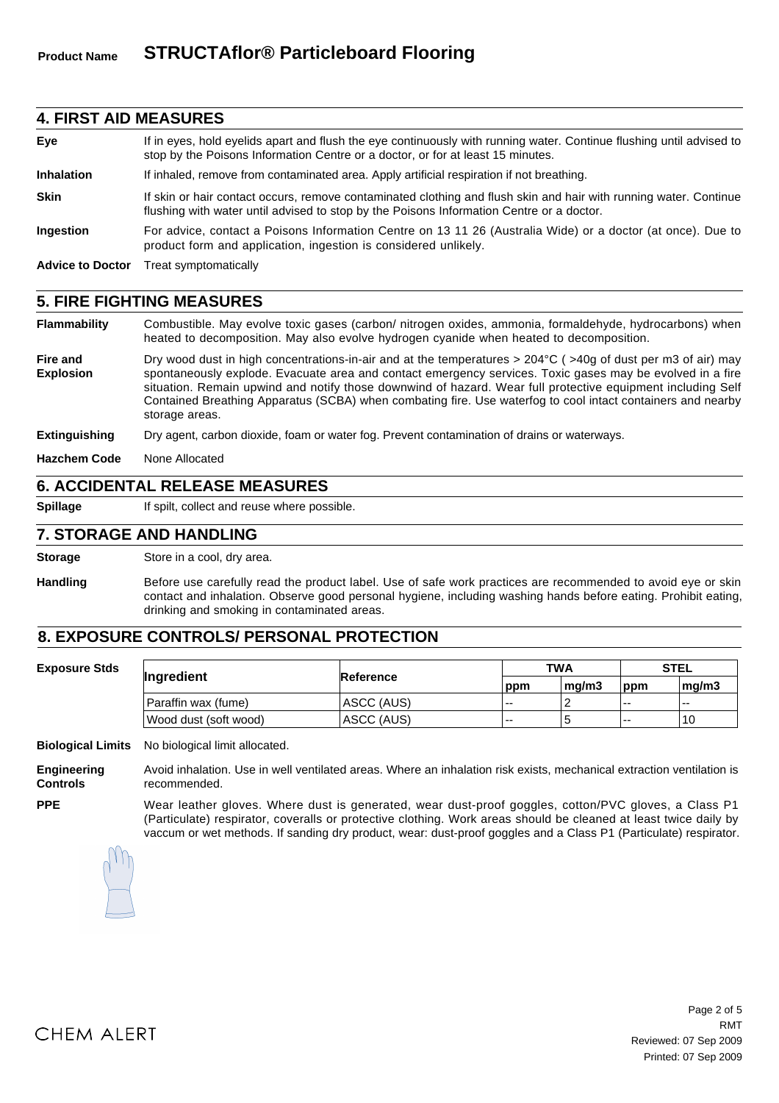#### **4. FIRST AID MEASURES**

| Eye                     | If in eyes, hold eyelids apart and flush the eye continuously with running water. Continue flushing until advised to<br>stop by the Poisons Information Centre or a doctor, or for at least 15 minutes.       |
|-------------------------|---------------------------------------------------------------------------------------------------------------------------------------------------------------------------------------------------------------|
| <b>Inhalation</b>       | If inhaled, remove from contaminated area. Apply artificial respiration if not breathing.                                                                                                                     |
| <b>Skin</b>             | If skin or hair contact occurs, remove contaminated clothing and flush skin and hair with running water. Continue<br>flushing with water until advised to stop by the Poisons Information Centre or a doctor. |
| Ingestion               | For advice, contact a Poisons Information Centre on 13 11 26 (Australia Wide) or a doctor (at once). Due to<br>product form and application, ingestion is considered unlikely.                                |
| <b>Advice to Doctor</b> | Treat symptomatically                                                                                                                                                                                         |

#### **5. FIRE FIGHTING MEASURES**

**Flammability** Combustible. May evolve toxic gases (carbon/ nitrogen oxides, ammonia, formaldehyde, hydrocarbons) when heated to decomposition. May also evolve hydrogen cyanide when heated to decomposition.

**Fire and Explosion** Dry wood dust in high concentrations-in-air and at the temperatures > 204°C ( >40g of dust per m3 of air) may spontaneously explode. Evacuate area and contact emergency services. Toxic gases may be evolved in a fire situation. Remain upwind and notify those downwind of hazard. Wear full protective equipment including Self Contained Breathing Apparatus (SCBA) when combating fire. Use waterfog to cool intact containers and nearby storage areas.

| <b>Extinguishing</b> |  |  |  |  | Dry agent, carbon dioxide, foam or water fog. Prevent contamination of drains or waterways. |
|----------------------|--|--|--|--|---------------------------------------------------------------------------------------------|
|----------------------|--|--|--|--|---------------------------------------------------------------------------------------------|

**Hazchem Code** None Allocated

#### **6. ACCIDENTAL RELEASE MEASURES**

**PPE**

**Spillage** If spilt, collect and reuse where possible.

#### **7. STORAGE AND HANDLING**

**Storage** Store in a cool, dry area.

**Handling** Before use carefully read the product label. Use of safe work practices are recommended to avoid eye or skin contact and inhalation. Observe good personal hygiene, including washing hands before eating. Prohibit eating, drinking and smoking in contaminated areas.

#### **8. EXPOSURE CONTROLS/ PERSONAL PROTECTION**

| <b>Exposure Stds</b> | Ingredient            |            | <b>TWA</b> |       | <b>STEL</b> |       |
|----------------------|-----------------------|------------|------------|-------|-------------|-------|
|                      |                       | Reference  | ppm        | ma/m3 | ppm         | ma/m3 |
|                      | Paraffin wax (fume)   | ASCC (AUS) | $- -$      |       | $- -$       | $- -$ |
|                      | Wood dust (soft wood) | ASCC (AUS) | $- -$      | Ð     | <b></b>     | 10    |

**Biological Limits** No biological limit allocated.

**Engineering Controls** Avoid inhalation. Use in well ventilated areas. Where an inhalation risk exists, mechanical extraction ventilation is recommended.

Wear leather gloves. Where dust is generated, wear dust-proof goggles, cotton/PVC gloves, a Class P1 (Particulate) respirator, coveralls or protective clothing. Work areas should be cleaned at least twice daily by vaccum or wet methods. If sanding dry product, wear: dust-proof goggles and a Class P1 (Particulate) respirator.

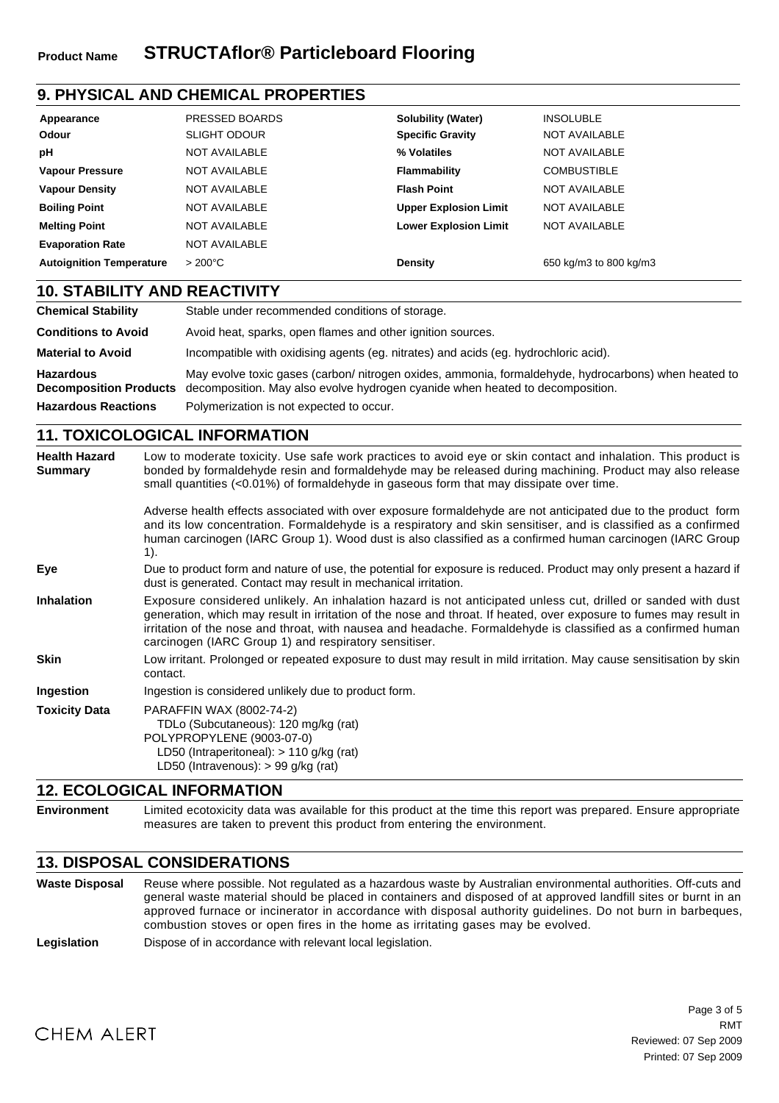# **9. PHYSICAL AND CHEMICAL PROPERTIES**

| Appearance<br>Odour             | PRESSED BOARDS<br><b>SLIGHT ODOUR</b> | <b>Solubility (Water)</b><br><b>Specific Gravity</b> | <b>INSOLUBLE</b><br>NOT AVAILABLE |
|---------------------------------|---------------------------------------|------------------------------------------------------|-----------------------------------|
| рH                              | <b>NOT AVAILABLE</b>                  | % Volatiles                                          | <b>NOT AVAILABLE</b>              |
| <b>Vapour Pressure</b>          | <b>NOT AVAILABLE</b>                  | Flammability                                         | <b>COMBUSTIBLE</b>                |
| <b>Vapour Density</b>           | <b>NOT AVAILABLE</b>                  | <b>Flash Point</b>                                   | <b>NOT AVAILABLE</b>              |
| <b>Boiling Point</b>            | <b>NOT AVAILABLE</b>                  | <b>Upper Explosion Limit</b>                         | <b>NOT AVAILABLE</b>              |
| <b>Melting Point</b>            | <b>NOT AVAILABLE</b>                  | <b>Lower Explosion Limit</b>                         | NOT AVAILABLE                     |
| <b>Evaporation Rate</b>         | <b>NOT AVAILABLE</b>                  |                                                      |                                   |
| <b>Autoignition Temperature</b> | $>200^{\circ}$ C                      | Density                                              | 650 kg/m3 to 800 kg/m3            |

### **10. STABILITY AND REACTIVITY**

| <b>Chemical Stability</b>                         | Stable under recommended conditions of storage.                                                                                                                                      |
|---------------------------------------------------|--------------------------------------------------------------------------------------------------------------------------------------------------------------------------------------|
| <b>Conditions to Avoid</b>                        | Avoid heat, sparks, open flames and other ignition sources.                                                                                                                          |
| <b>Material to Avoid</b>                          | Incompatible with oxidising agents (eg. nitrates) and acids (eg. hydrochloric acid).                                                                                                 |
| <b>Hazardous</b><br><b>Decomposition Products</b> | May evolve toxic gases (carbon/nitrogen oxides, ammonia, formaldehyde, hydrocarbons) when heated to<br>decomposition. May also evolve hydrogen cyanide when heated to decomposition. |
| <b>Hazardous Reactions</b>                        | Polymerization is not expected to occur.                                                                                                                                             |

### **11. TOXICOLOGICAL INFORMATION**

| <b>Health Hazard</b><br><b>Summary</b> | Low to moderate toxicity. Use safe work practices to avoid eye or skin contact and inhalation. This product is<br>bonded by formaldehyde resin and formaldehyde may be released during machining. Product may also release<br>small quantities $(<0.01\%)$ of formaldehyde in gaseous form that may dissipate over time.                                                                                     |
|----------------------------------------|--------------------------------------------------------------------------------------------------------------------------------------------------------------------------------------------------------------------------------------------------------------------------------------------------------------------------------------------------------------------------------------------------------------|
|                                        | Adverse health effects associated with over exposure formaldehyde are not anticipated due to the product form<br>and its low concentration. Formaldehyde is a respiratory and skin sensitiser, and is classified as a confirmed<br>human carcinogen (IARC Group 1). Wood dust is also classified as a confirmed human carcinogen (IARC Group<br>1).                                                          |
| Eye                                    | Due to product form and nature of use, the potential for exposure is reduced. Product may only present a hazard if<br>dust is generated. Contact may result in mechanical irritation.                                                                                                                                                                                                                        |
| <b>Inhalation</b>                      | Exposure considered unlikely. An inhalation hazard is not anticipated unless cut, drilled or sanded with dust<br>generation, which may result in irritation of the nose and throat. If heated, over exposure to fumes may result in<br>irritation of the nose and throat, with nausea and headache. Formaldehyde is classified as a confirmed human<br>carcinogen (IARC Group 1) and respiratory sensitiser. |
| <b>Skin</b>                            | Low irritant. Prolonged or repeated exposure to dust may result in mild irritation. May cause sensitisation by skin<br>contact.                                                                                                                                                                                                                                                                              |
| Ingestion                              | Ingestion is considered unlikely due to product form.                                                                                                                                                                                                                                                                                                                                                        |
| <b>Toxicity Data</b>                   | PARAFFIN WAX (8002-74-2)<br>TDLo (Subcutaneous): 120 mg/kg (rat)<br>POLYPROPYLENE (9003-07-0)<br>LD50 (Intraperitoneal): > 110 g/kg (rat)<br>LD50 (Intravenous): $> 99$ g/kg (rat)                                                                                                                                                                                                                           |

#### **12. ECOLOGICAL INFORMATION**

**Environment** Limited ecotoxicity data was available for this product at the time this report was prepared. Ensure appropriate measures are taken to prevent this product from entering the environment.

## **13. DISPOSAL CONSIDERATIONS**

**Waste Disposal** Reuse where possible. Not regulated as a hazardous waste by Australian environmental authorities. Off-cuts and general waste material should be placed in containers and disposed of at approved landfill sites or burnt in an approved furnace or incinerator in accordance with disposal authority guidelines. Do not burn in barbeques, combustion stoves or open fires in the home as irritating gases may be evolved.

Legislation **Dispose of in accordance with relevant local legislation.**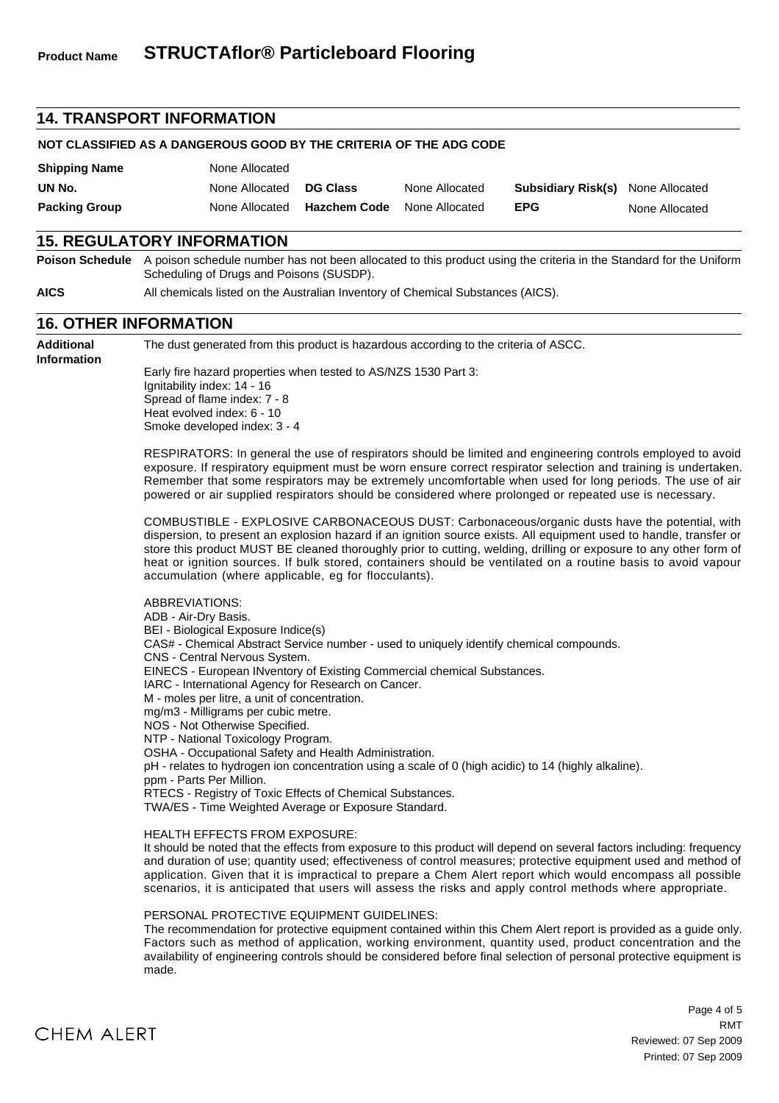#### **14. TRANSPORT INFORMATION**

#### **NOT CLASSIFIED AS A DANGEROUS GOOD BY THE CRITERIA OF THE ADG CODE**

| <b>Shipping Name</b> | None Allocated |                     |                |                                          |                |
|----------------------|----------------|---------------------|----------------|------------------------------------------|----------------|
| UN No.               | None Allocated | <b>DG Class</b>     | None Allocated | <b>Subsidiary Risk(s)</b> None Allocated |                |
| <b>Packing Group</b> | None Allocated | <b>Hazchem Code</b> | None Allocated | <b>EPG</b>                               | None Allocated |

#### **15. REGULATORY INFORMATION**

**Poison Schedule** A poison schedule number has not been allocated to this product using the criteria in the Standard for the Uniform Scheduling of Drugs and Poisons (SUSDP).

**AICS** All chemicals listed on the Australian Inventory of Chemical Substances (AICS).

#### **16. OTHER INFORMATION**

**Additional Information** The dust generated from this product is hazardous according to the criteria of ASCC.

Early fire hazard properties when tested to AS/NZS 1530 Part 3: Ignitability index: 14 - 16 Spread of flame index: 7 - 8 Heat evolved index: 6 - 10 Smoke developed index: 3 - 4

RESPIRATORS: In general the use of respirators should be limited and engineering controls employed to avoid exposure. If respiratory equipment must be worn ensure correct respirator selection and training is undertaken. Remember that some respirators may be extremely uncomfortable when used for long periods. The use of air powered or air supplied respirators should be considered where prolonged or repeated use is necessary.

COMBUSTIBLE - EXPLOSIVE CARBONACEOUS DUST: Carbonaceous/organic dusts have the potential, with dispersion, to present an explosion hazard if an ignition source exists. All equipment used to handle, transfer or store this product MUST BE cleaned thoroughly prior to cutting, welding, drilling or exposure to any other form of heat or ignition sources. If bulk stored, containers should be ventilated on a routine basis to avoid vapour accumulation (where applicable, eg for flocculants).

ABBREVIATIONS: ADB - Air-Dry Basis. BEI - Biological Exposure Indice(s) CAS# - Chemical Abstract Service number - used to uniquely identify chemical compounds. CNS - Central Nervous System. EINECS - European INventory of Existing Commercial chemical Substances. IARC - International Agency for Research on Cancer. M - moles per litre, a unit of concentration. mg/m3 - Milligrams per cubic metre. NOS - Not Otherwise Specified. NTP - National Toxicology Program. OSHA - Occupational Safety and Health Administration. pH - relates to hydrogen ion concentration using a scale of 0 (high acidic) to 14 (highly alkaline). ppm - Parts Per Million. RTECS - Registry of Toxic Effects of Chemical Substances. TWA/ES - Time Weighted Average or Exposure Standard.

#### HEALTH EFFECTS FROM EXPOSURE:

It should be noted that the effects from exposure to this product will depend on several factors including: frequency and duration of use; quantity used; effectiveness of control measures; protective equipment used and method of application. Given that it is impractical to prepare a Chem Alert report which would encompass all possible scenarios, it is anticipated that users will assess the risks and apply control methods where appropriate.

#### PERSONAL PROTECTIVE EQUIPMENT GUIDELINES:

The recommendation for protective equipment contained within this Chem Alert report is provided as a guide only. Factors such as method of application, working environment, quantity used, product concentration and the availability of engineering controls should be considered before final selection of personal protective equipment is made.